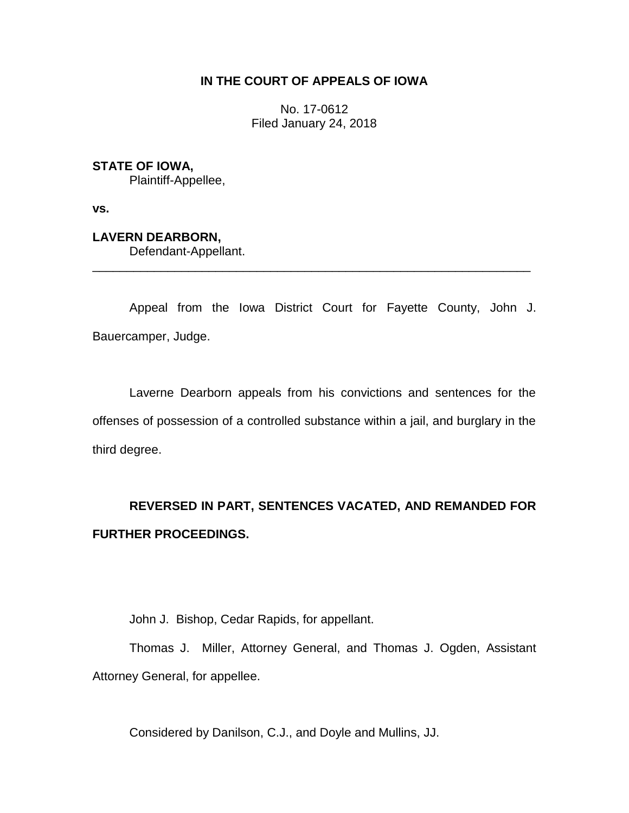## **IN THE COURT OF APPEALS OF IOWA**

No. 17-0612 Filed January 24, 2018

## **STATE OF IOWA,**

Plaintiff-Appellee,

**vs.**

## **LAVERN DEARBORN,**

Defendant-Appellant.

Appeal from the Iowa District Court for Fayette County, John J. Bauercamper, Judge.

\_\_\_\_\_\_\_\_\_\_\_\_\_\_\_\_\_\_\_\_\_\_\_\_\_\_\_\_\_\_\_\_\_\_\_\_\_\_\_\_\_\_\_\_\_\_\_\_\_\_\_\_\_\_\_\_\_\_\_\_\_\_\_\_

Laverne Dearborn appeals from his convictions and sentences for the offenses of possession of a controlled substance within a jail, and burglary in the third degree.

# **REVERSED IN PART, SENTENCES VACATED, AND REMANDED FOR FURTHER PROCEEDINGS.**

John J. Bishop, Cedar Rapids, for appellant.

Thomas J. Miller, Attorney General, and Thomas J. Ogden, Assistant Attorney General, for appellee.

Considered by Danilson, C.J., and Doyle and Mullins, JJ.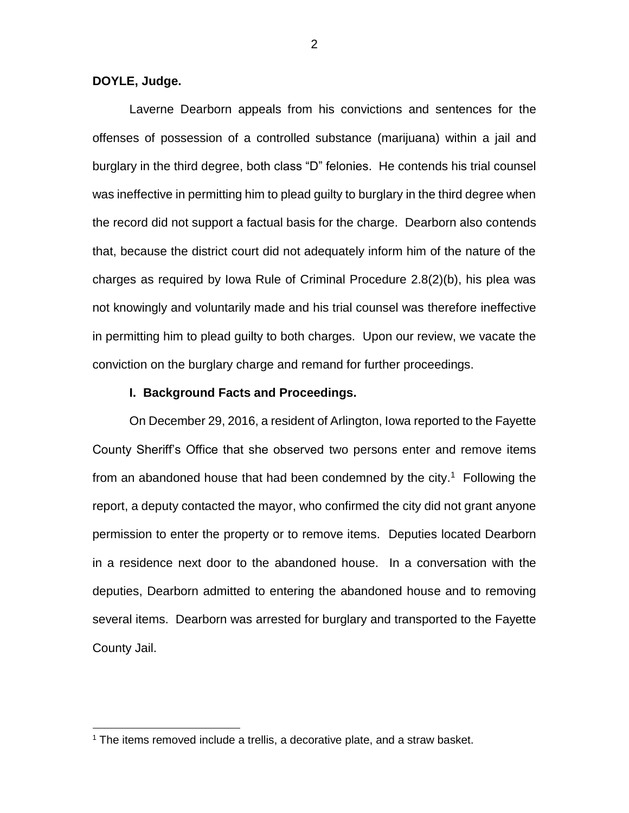**DOYLE, Judge.**

 $\overline{a}$ 

Laverne Dearborn appeals from his convictions and sentences for the offenses of possession of a controlled substance (marijuana) within a jail and burglary in the third degree, both class "D" felonies. He contends his trial counsel was ineffective in permitting him to plead guilty to burglary in the third degree when the record did not support a factual basis for the charge. Dearborn also contends that, because the district court did not adequately inform him of the nature of the charges as required by Iowa Rule of Criminal Procedure 2.8(2)(b), his plea was not knowingly and voluntarily made and his trial counsel was therefore ineffective in permitting him to plead guilty to both charges. Upon our review, we vacate the conviction on the burglary charge and remand for further proceedings.

#### **I. Background Facts and Proceedings.**

On December 29, 2016, a resident of Arlington, Iowa reported to the Fayette County Sheriff's Office that she observed two persons enter and remove items from an abandoned house that had been condemned by the city. 1 Following the report, a deputy contacted the mayor, who confirmed the city did not grant anyone permission to enter the property or to remove items. Deputies located Dearborn in a residence next door to the abandoned house. In a conversation with the deputies, Dearborn admitted to entering the abandoned house and to removing several items. Dearborn was arrested for burglary and transported to the Fayette County Jail.

 $1$  The items removed include a trellis, a decorative plate, and a straw basket.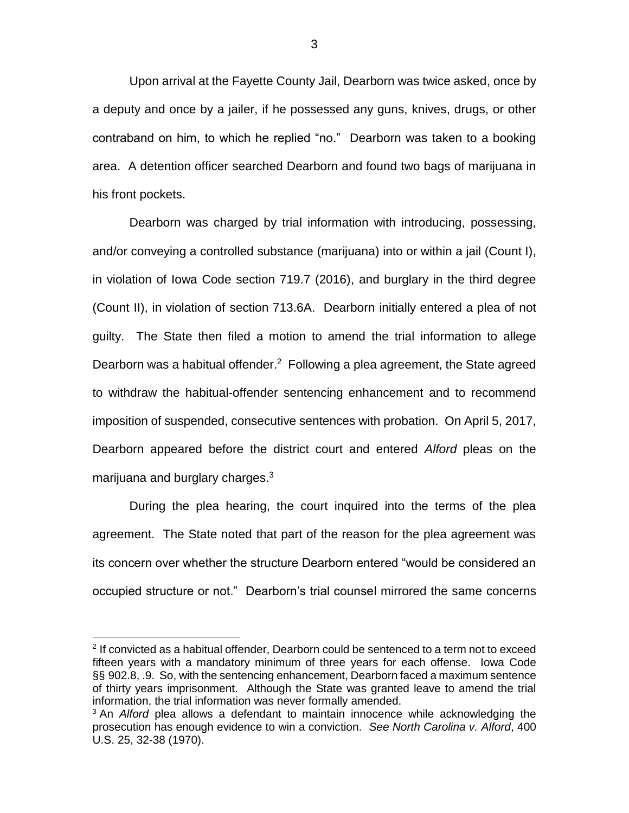Upon arrival at the Fayette County Jail, Dearborn was twice asked, once by a deputy and once by a jailer, if he possessed any guns, knives, drugs, or other contraband on him, to which he replied "no." Dearborn was taken to a booking area. A detention officer searched Dearborn and found two bags of marijuana in his front pockets.

Dearborn was charged by trial information with introducing, possessing, and/or conveying a controlled substance (marijuana) into or within a jail (Count I), in violation of Iowa Code section 719.7 (2016), and burglary in the third degree (Count II), in violation of section 713.6A. Dearborn initially entered a plea of not guilty. The State then filed a motion to amend the trial information to allege Dearborn was a habitual offender.<sup>2</sup> Following a plea agreement, the State agreed to withdraw the habitual-offender sentencing enhancement and to recommend imposition of suspended, consecutive sentences with probation. On April 5, 2017, Dearborn appeared before the district court and entered *Alford* pleas on the marijuana and burglary charges.<sup>3</sup>

During the plea hearing, the court inquired into the terms of the plea agreement. The State noted that part of the reason for the plea agreement was its concern over whether the structure Dearborn entered "would be considered an occupied structure or not." Dearborn's trial counsel mirrored the same concerns

 $\overline{a}$ 

<sup>&</sup>lt;sup>2</sup> If convicted as a habitual offender, Dearborn could be sentenced to a term not to exceed fifteen years with a mandatory minimum of three years for each offense. Iowa Code §§ 902.8, .9. So, with the sentencing enhancement, Dearborn faced a maximum sentence of thirty years imprisonment. Although the State was granted leave to amend the trial information, the trial information was never formally amended.

<sup>3</sup> An *Alford* plea allows a defendant to maintain innocence while acknowledging the prosecution has enough evidence to win a conviction. *See North Carolina v. Alford*, 400 U.S. 25, 32-38 (1970).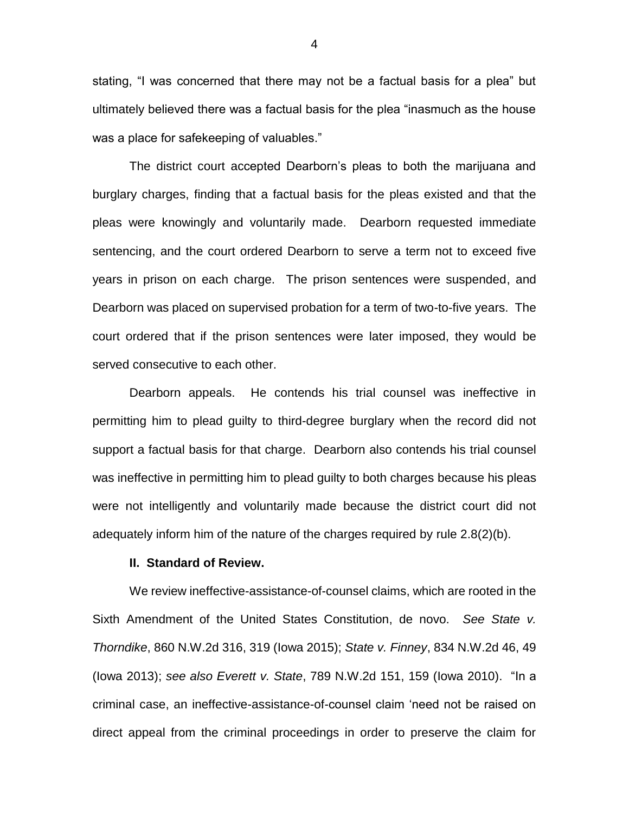stating, "I was concerned that there may not be a factual basis for a plea" but ultimately believed there was a factual basis for the plea "inasmuch as the house was a place for safekeeping of valuables."

The district court accepted Dearborn's pleas to both the marijuana and burglary charges, finding that a factual basis for the pleas existed and that the pleas were knowingly and voluntarily made. Dearborn requested immediate sentencing, and the court ordered Dearborn to serve a term not to exceed five years in prison on each charge. The prison sentences were suspended, and Dearborn was placed on supervised probation for a term of two-to-five years. The court ordered that if the prison sentences were later imposed, they would be served consecutive to each other.

Dearborn appeals. He contends his trial counsel was ineffective in permitting him to plead guilty to third-degree burglary when the record did not support a factual basis for that charge. Dearborn also contends his trial counsel was ineffective in permitting him to plead guilty to both charges because his pleas were not intelligently and voluntarily made because the district court did not adequately inform him of the nature of the charges required by rule 2.8(2)(b).

#### **II. Standard of Review.**

We review ineffective-assistance-of-counsel claims, which are rooted in the Sixth Amendment of the United States Constitution, de novo. *See State v. Thorndike*, 860 N.W.2d 316, 319 (Iowa 2015); *State v. Finney*, 834 N.W.2d 46, 49 (Iowa 2013); *see also Everett v. State*, 789 N.W.2d 151, 159 (Iowa 2010). "In a criminal case, an ineffective-assistance-of-counsel claim 'need not be raised on direct appeal from the criminal proceedings in order to preserve the claim for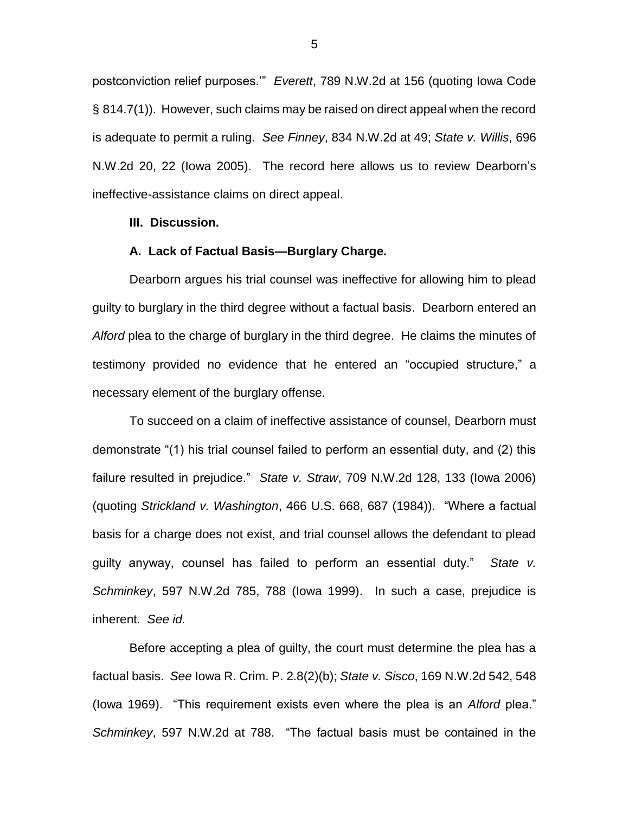postconviction relief purposes.'" *Everett*, 789 N.W.2d at 156 (quoting Iowa Code § 814.7(1)). However, such claims may be raised on direct appeal when the record is adequate to permit a ruling. *See Finney*, 834 N.W.2d at 49; *State v. Willis*, 696 N.W.2d 20, 22 (Iowa 2005). The record here allows us to review Dearborn's ineffective-assistance claims on direct appeal.

#### **III. Discussion.**

#### **A. Lack of Factual Basis—Burglary Charge***.*

Dearborn argues his trial counsel was ineffective for allowing him to plead guilty to burglary in the third degree without a factual basis. Dearborn entered an *Alford* plea to the charge of burglary in the third degree. He claims the minutes of testimony provided no evidence that he entered an "occupied structure," a necessary element of the burglary offense.

To succeed on a claim of ineffective assistance of counsel, Dearborn must demonstrate "(1) his trial counsel failed to perform an essential duty, and (2) this failure resulted in prejudice." *State v. Straw*, 709 N.W.2d 128, 133 (Iowa 2006) (quoting *Strickland v. Washington*, 466 U.S. 668, 687 (1984)). "Where a factual basis for a charge does not exist, and trial counsel allows the defendant to plead guilty anyway, counsel has failed to perform an essential duty." *State v. Schminkey*, 597 N.W.2d 785, 788 (Iowa 1999). In such a case, prejudice is inherent. *See id.*

Before accepting a plea of guilty, the court must determine the plea has a factual basis. *See* Iowa R. Crim. P. 2.8(2)(b); *State v. Sisco*, 169 N.W.2d 542, 548 (Iowa 1969). "This requirement exists even where the plea is an *Alford* plea." *Schminkey*, 597 N.W.2d at 788. "The factual basis must be contained in the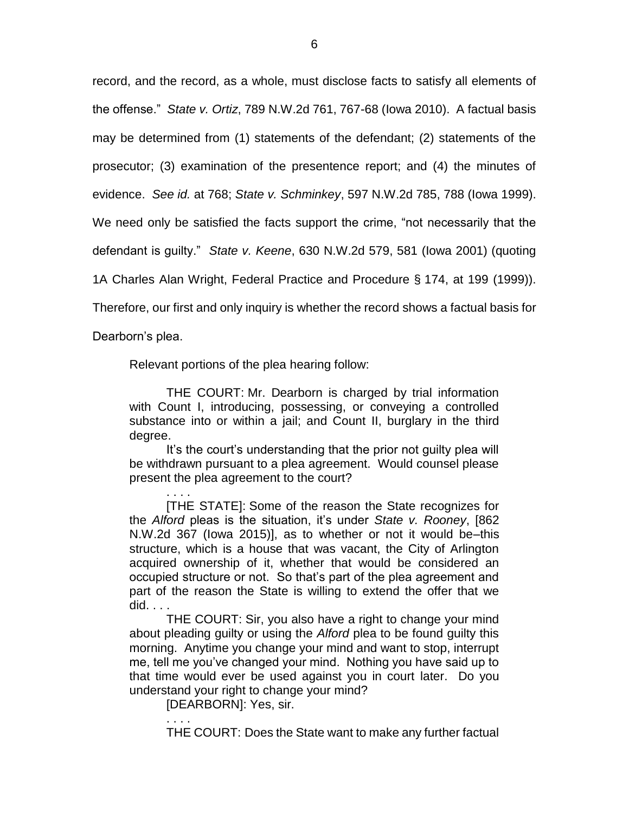record, and the record, as a whole, must disclose facts to satisfy all elements of the offense." *State v. Ortiz*, 789 N.W.2d 761, 767-68 (Iowa 2010). A factual basis may be determined from (1) statements of the defendant; (2) statements of the prosecutor; (3) examination of the presentence report; and (4) the minutes of evidence. *See id.* at 768; *State v. Schminkey*, 597 N.W.2d 785, 788 (Iowa 1999). We need only be satisfied the facts support the crime, "not necessarily that the defendant is guilty." *State v. Keene*, 630 N.W.2d 579, 581 (Iowa 2001) (quoting 1A Charles Alan Wright, Federal Practice and Procedure § 174, at 199 (1999)).

Therefore, our first and only inquiry is whether the record shows a factual basis for

Dearborn's plea.

Relevant portions of the plea hearing follow:

THE COURT: Mr. Dearborn is charged by trial information with Count I, introducing, possessing, or conveying a controlled substance into or within a jail; and Count II, burglary in the third degree.

It's the court's understanding that the prior not guilty plea will be withdrawn pursuant to a plea agreement. Would counsel please present the plea agreement to the court?

. . . . [THE STATE]: Some of the reason the State recognizes for the *Alford* pleas is the situation, it's under *State v. Rooney*, [862 N.W.2d 367 (Iowa 2015)], as to whether or not it would be–this structure, which is a house that was vacant, the City of Arlington acquired ownership of it, whether that would be considered an occupied structure or not. So that's part of the plea agreement and part of the reason the State is willing to extend the offer that we did. . . .

THE COURT: Sir, you also have a right to change your mind about pleading guilty or using the *Alford* plea to be found guilty this morning. Anytime you change your mind and want to stop, interrupt me, tell me you've changed your mind. Nothing you have said up to that time would ever be used against you in court later. Do you understand your right to change your mind?

[DEARBORN]: Yes, sir.

. . . .

THE COURT: Does the State want to make any further factual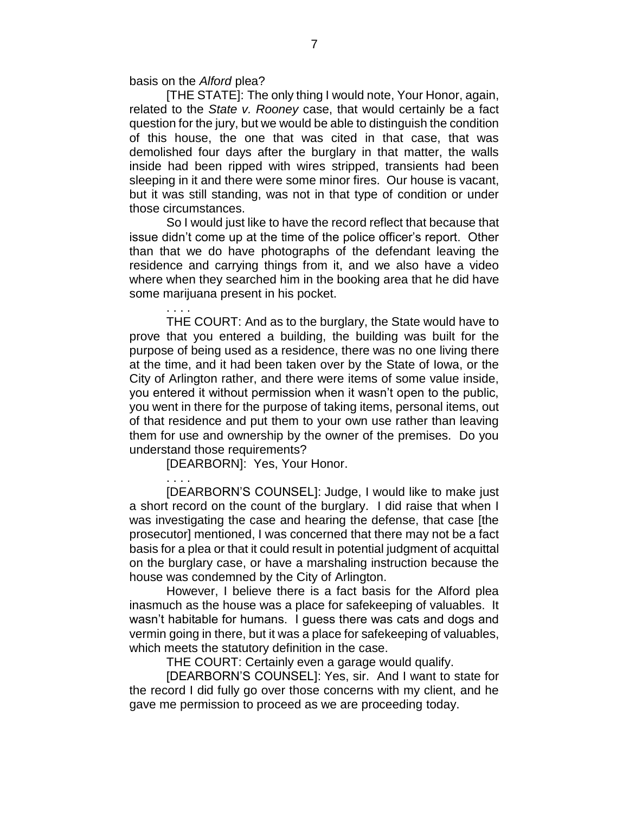basis on the *Alford* plea?

. . . .

. . . .

[THE STATE]: The only thing I would note, Your Honor, again, related to the *State v. Rooney* case, that would certainly be a fact question for the jury, but we would be able to distinguish the condition of this house, the one that was cited in that case, that was demolished four days after the burglary in that matter, the walls inside had been ripped with wires stripped, transients had been sleeping in it and there were some minor fires. Our house is vacant, but it was still standing, was not in that type of condition or under those circumstances.

So I would just like to have the record reflect that because that issue didn't come up at the time of the police officer's report. Other than that we do have photographs of the defendant leaving the residence and carrying things from it, and we also have a video where when they searched him in the booking area that he did have some marijuana present in his pocket.

THE COURT: And as to the burglary, the State would have to prove that you entered a building, the building was built for the purpose of being used as a residence, there was no one living there at the time, and it had been taken over by the State of Iowa, or the City of Arlington rather, and there were items of some value inside, you entered it without permission when it wasn't open to the public, you went in there for the purpose of taking items, personal items, out of that residence and put them to your own use rather than leaving them for use and ownership by the owner of the premises. Do you understand those requirements?

[DEARBORN]: Yes, Your Honor.

[DEARBORN'S COUNSEL]: Judge, I would like to make just a short record on the count of the burglary. I did raise that when I was investigating the case and hearing the defense, that case [the prosecutor] mentioned, I was concerned that there may not be a fact basis for a plea or that it could result in potential judgment of acquittal on the burglary case, or have a marshaling instruction because the house was condemned by the City of Arlington.

However, I believe there is a fact basis for the Alford plea inasmuch as the house was a place for safekeeping of valuables. It wasn't habitable for humans. I guess there was cats and dogs and vermin going in there, but it was a place for safekeeping of valuables, which meets the statutory definition in the case.

THE COURT: Certainly even a garage would qualify.

[DEARBORN'S COUNSEL]: Yes, sir. And I want to state for the record I did fully go over those concerns with my client, and he gave me permission to proceed as we are proceeding today.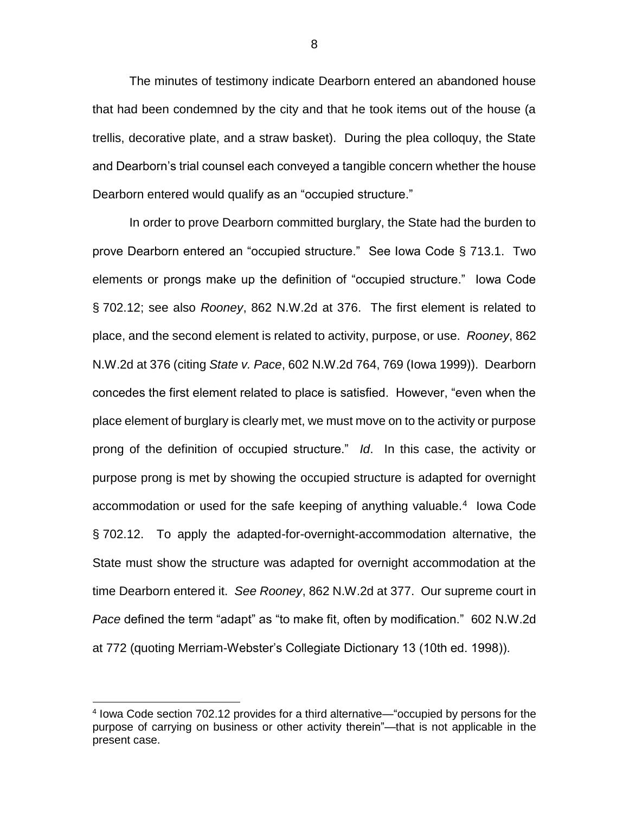The minutes of testimony indicate Dearborn entered an abandoned house that had been condemned by the city and that he took items out of the house (a trellis, decorative plate, and a straw basket). During the plea colloquy, the State and Dearborn's trial counsel each conveyed a tangible concern whether the house Dearborn entered would qualify as an "occupied structure."

In order to prove Dearborn committed burglary, the State had the burden to prove Dearborn entered an "occupied structure." See Iowa Code § 713.1. Two elements or prongs make up the definition of "occupied structure." Iowa Code § 702.12; see also *Rooney*, 862 N.W.2d at 376. The first element is related to place, and the second element is related to activity, purpose, or use. *Rooney*, 862 N.W.2d at 376 (citing *State v. Pace*, 602 N.W.2d 764, 769 (Iowa 1999)). Dearborn concedes the first element related to place is satisfied. However, "even when the place element of burglary is clearly met, we must move on to the activity or purpose prong of the definition of occupied structure." *Id*. In this case, the activity or purpose prong is met by showing the occupied structure is adapted for overnight accommodation or used for the safe keeping of anything valuable.<sup>4</sup> lowa Code § 702.12. To apply the adapted-for-overnight-accommodation alternative, the State must show the structure was adapted for overnight accommodation at the time Dearborn entered it. *See Rooney*, 862 N.W.2d at 377. Our supreme court in *Pace* defined the term "adapt" as "to make fit, often by modification." 602 N.W.2d at 772 (quoting Merriam-Webster's Collegiate Dictionary 13 (10th ed. 1998)).

 $\overline{a}$ 

<sup>&</sup>lt;sup>4</sup> lowa Code section 702.12 provides for a third alternative—"occupied by persons for the purpose of carrying on business or other activity therein"—that is not applicable in the present case.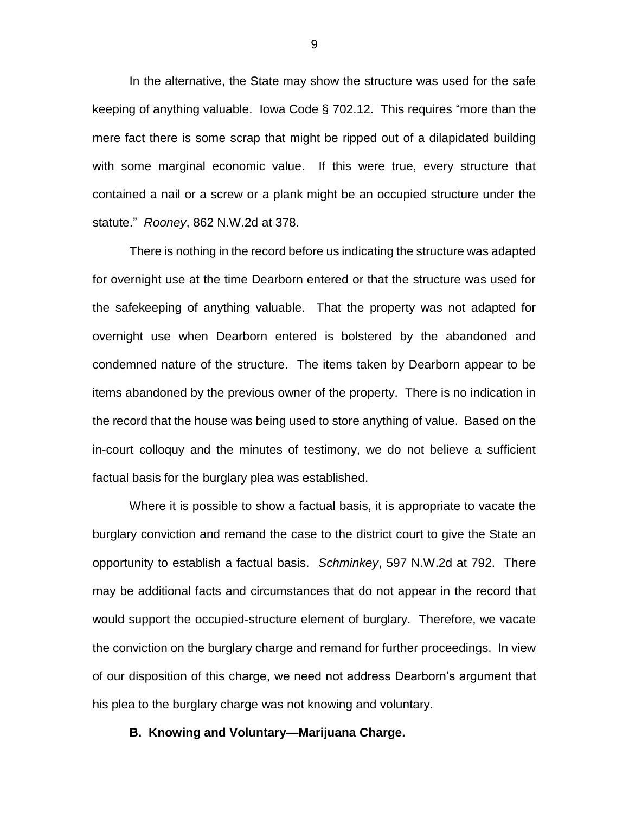In the alternative, the State may show the structure was used for the safe keeping of anything valuable. Iowa Code § 702.12. This requires "more than the mere fact there is some scrap that might be ripped out of a dilapidated building with some marginal economic value. If this were true, every structure that contained a nail or a screw or a plank might be an occupied structure under the statute." *Rooney*, 862 N.W.2d at 378.

There is nothing in the record before us indicating the structure was adapted for overnight use at the time Dearborn entered or that the structure was used for the safekeeping of anything valuable. That the property was not adapted for overnight use when Dearborn entered is bolstered by the abandoned and condemned nature of the structure. The items taken by Dearborn appear to be items abandoned by the previous owner of the property. There is no indication in the record that the house was being used to store anything of value. Based on the in-court colloquy and the minutes of testimony, we do not believe a sufficient factual basis for the burglary plea was established.

Where it is possible to show a factual basis, it is appropriate to vacate the burglary conviction and remand the case to the district court to give the State an opportunity to establish a factual basis. *Schminkey*, 597 N.W.2d at 792. There may be additional facts and circumstances that do not appear in the record that would support the occupied-structure element of burglary. Therefore, we vacate the conviction on the burglary charge and remand for further proceedings. In view of our disposition of this charge, we need not address Dearborn's argument that his plea to the burglary charge was not knowing and voluntary.

### **B. Knowing and Voluntary—Marijuana Charge.**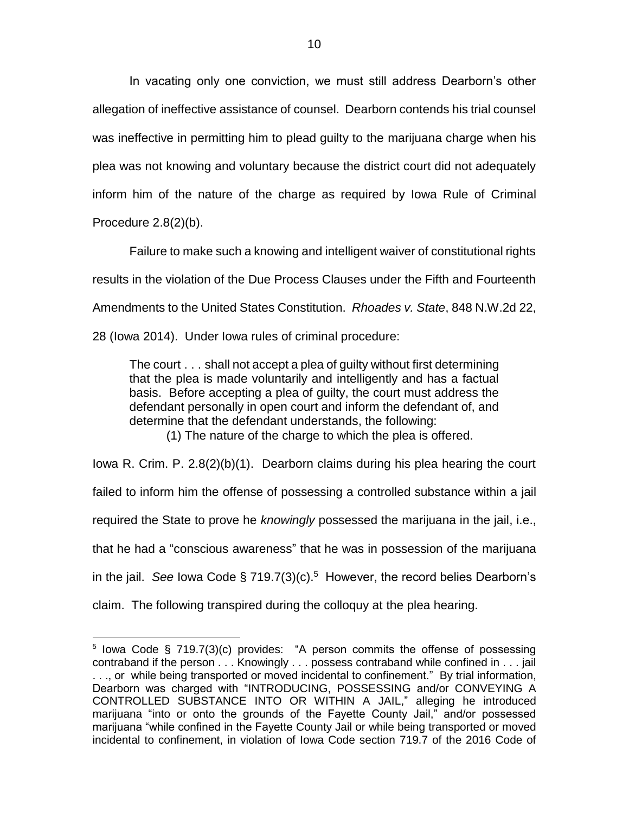In vacating only one conviction, we must still address Dearborn's other allegation of ineffective assistance of counsel. Dearborn contends his trial counsel was ineffective in permitting him to plead guilty to the marijuana charge when his plea was not knowing and voluntary because the district court did not adequately inform him of the nature of the charge as required by Iowa Rule of Criminal Procedure 2.8(2)(b).

Failure to make such a knowing and intelligent waiver of constitutional rights results in the violation of the Due Process Clauses under the Fifth and Fourteenth Amendments to the United States Constitution. *Rhoades v. State*, 848 N.W.2d 22, 28 (Iowa 2014). Under Iowa rules of criminal procedure:

The court . . . shall not accept a plea of guilty without first determining that the plea is made voluntarily and intelligently and has a factual basis. Before accepting a plea of guilty, the court must address the defendant personally in open court and inform the defendant of, and determine that the defendant understands, the following:

(1) The nature of the charge to which the plea is offered.

Iowa R. Crim. P. 2.8(2)(b)(1). Dearborn claims during his plea hearing the court failed to inform him the offense of possessing a controlled substance within a jail required the State to prove he *knowingly* possessed the marijuana in the jail, i.e., that he had a "conscious awareness" that he was in possession of the marijuana in the jail. See lowa Code § 719.7(3)(c).<sup>5</sup> However, the record belies Dearborn's claim. The following transpired during the colloquy at the plea hearing.

 $\overline{a}$ 

<sup>&</sup>lt;sup>5</sup> lowa Code § 719.7(3)(c) provides: "A person commits the offense of possessing contraband if the person . . . Knowingly . . . possess contraband while confined in . . . jail . . ., or while being transported or moved incidental to confinement." By trial information, Dearborn was charged with "INTRODUCING, POSSESSING and/or CONVEYING A CONTROLLED SUBSTANCE INTO OR WITHIN A JAIL," alleging he introduced marijuana "into or onto the grounds of the Fayette County Jail," and/or possessed marijuana "while confined in the Fayette County Jail or while being transported or moved incidental to confinement, in violation of Iowa Code section 719.7 of the 2016 Code of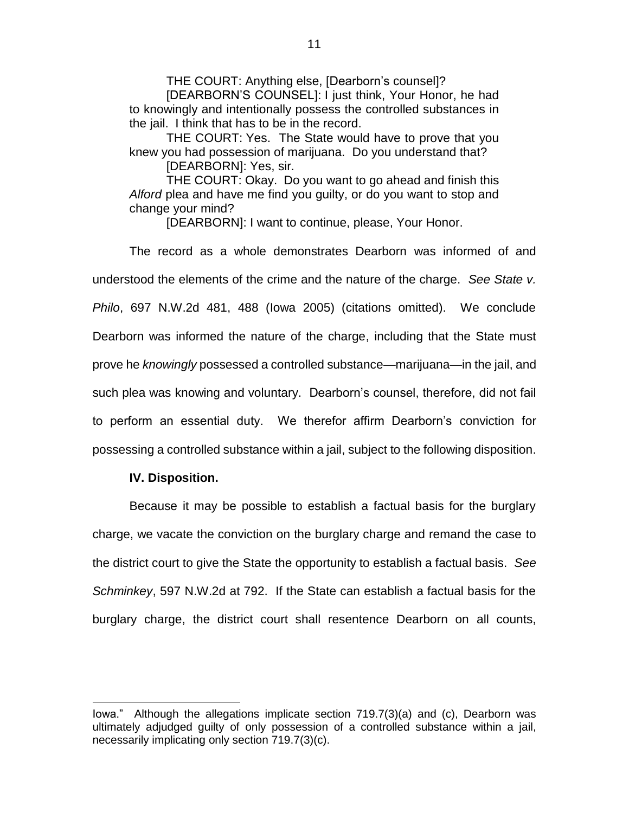THE COURT: Anything else, [Dearborn's counsel]?

[DEARBORN'S COUNSEL]: I just think, Your Honor, he had to knowingly and intentionally possess the controlled substances in the jail. I think that has to be in the record.

THE COURT: Yes. The State would have to prove that you knew you had possession of marijuana. Do you understand that?

[DEARBORN]: Yes, sir.

THE COURT: Okay. Do you want to go ahead and finish this *Alford* plea and have me find you guilty, or do you want to stop and change your mind?

[DEARBORN]: I want to continue, please, Your Honor.

The record as a whole demonstrates Dearborn was informed of and understood the elements of the crime and the nature of the charge. *See State v. Philo*, 697 N.W.2d 481, 488 (Iowa 2005) (citations omitted). We conclude Dearborn was informed the nature of the charge, including that the State must prove he *knowingly* possessed a controlled substance—marijuana—in the jail, and such plea was knowing and voluntary. Dearborn's counsel, therefore, did not fail to perform an essential duty. We therefor affirm Dearborn's conviction for possessing a controlled substance within a jail, subject to the following disposition.

### **IV. Disposition.**

 $\overline{a}$ 

Because it may be possible to establish a factual basis for the burglary charge, we vacate the conviction on the burglary charge and remand the case to the district court to give the State the opportunity to establish a factual basis. *See Schminkey*, 597 N.W.2d at 792. If the State can establish a factual basis for the burglary charge, the district court shall resentence Dearborn on all counts,

Iowa." Although the allegations implicate section 719.7(3)(a) and (c), Dearborn was ultimately adjudged guilty of only possession of a controlled substance within a jail, necessarily implicating only section 719.7(3)(c).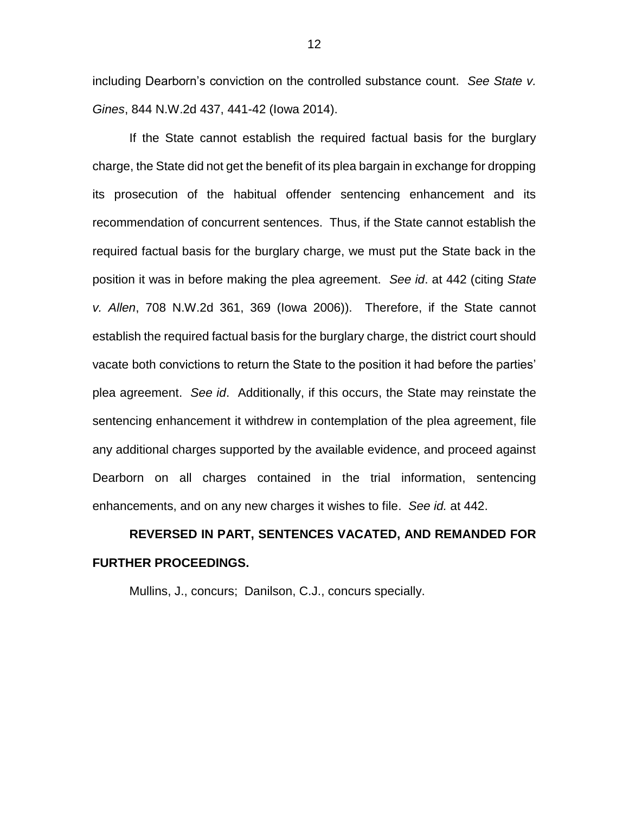including Dearborn's conviction on the controlled substance count. *See State v. Gines*, 844 N.W.2d 437, 441-42 (Iowa 2014).

If the State cannot establish the required factual basis for the burglary charge, the State did not get the benefit of its plea bargain in exchange for dropping its prosecution of the habitual offender sentencing enhancement and its recommendation of concurrent sentences. Thus, if the State cannot establish the required factual basis for the burglary charge, we must put the State back in the position it was in before making the plea agreement. *See id*. at 442 (citing *State v. Allen*, 708 N.W.2d 361, 369 (Iowa 2006)). Therefore, if the State cannot establish the required factual basis for the burglary charge, the district court should vacate both convictions to return the State to the position it had before the parties' plea agreement. *See id*. Additionally, if this occurs, the State may reinstate the sentencing enhancement it withdrew in contemplation of the plea agreement, file any additional charges supported by the available evidence, and proceed against Dearborn on all charges contained in the trial information, sentencing enhancements, and on any new charges it wishes to file. *See id.* at 442.

# **REVERSED IN PART, SENTENCES VACATED, AND REMANDED FOR FURTHER PROCEEDINGS.**

Mullins, J., concurs; Danilson, C.J., concurs specially.